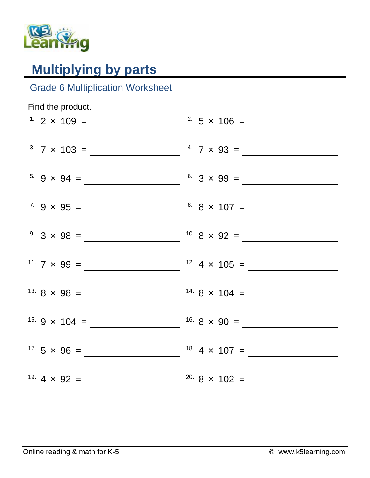

## **Multiplying by parts**

## Grade 6 Multiplication Worksheet

| Find the product. |                               |
|-------------------|-------------------------------|
|                   | <sup>2</sup> $5 \times 106 =$ |
|                   |                               |
|                   |                               |
|                   |                               |
|                   |                               |
|                   |                               |
|                   |                               |
|                   |                               |
|                   |                               |
|                   |                               |